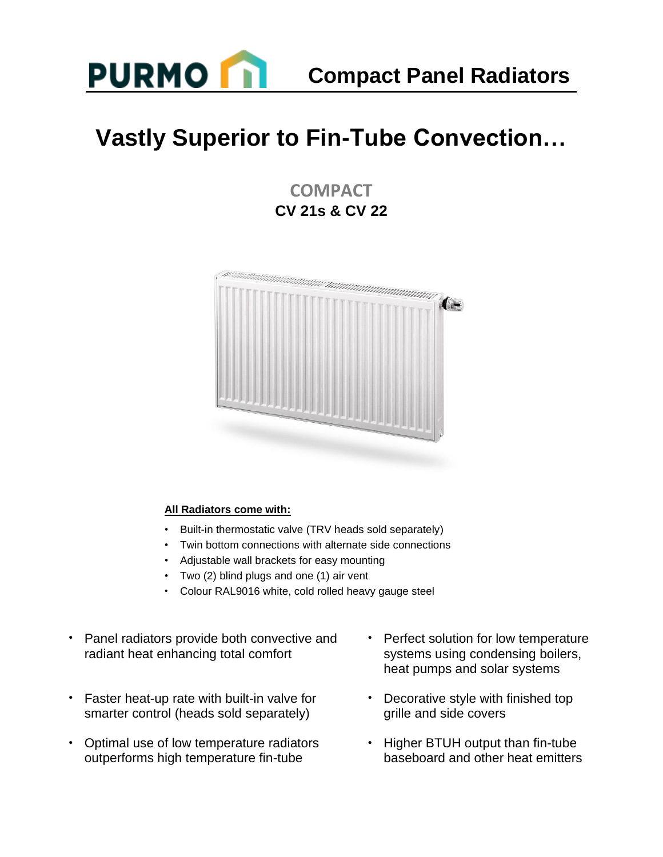

## **Vastly Superior to Fin-Tube Convection…**

**COMPACT CV 21s & CV 22**



#### **All Radiators come with:**

- Built-in thermostatic valve (TRV heads sold separately)
- Twin bottom connections with alternate side connections
- Adjustable wall brackets for easy mounting
- Two (2) blind plugs and one (1) air vent
- Colour RAL9016 white, cold rolled heavy gauge steel
- Panel radiators provide both convective and radiant heat enhancing total comfort
- Faster heat-up rate with built-in valve for smarter control (heads sold separately)
- Optimal use of low temperature radiators outperforms high temperature fin-tube
- Perfect solution for low temperature systems using condensing boilers, heat pumps and solar systems
- Decorative style with finished top grille and side covers
- Higher BTUH output than fin-tube baseboard and other heat emitters